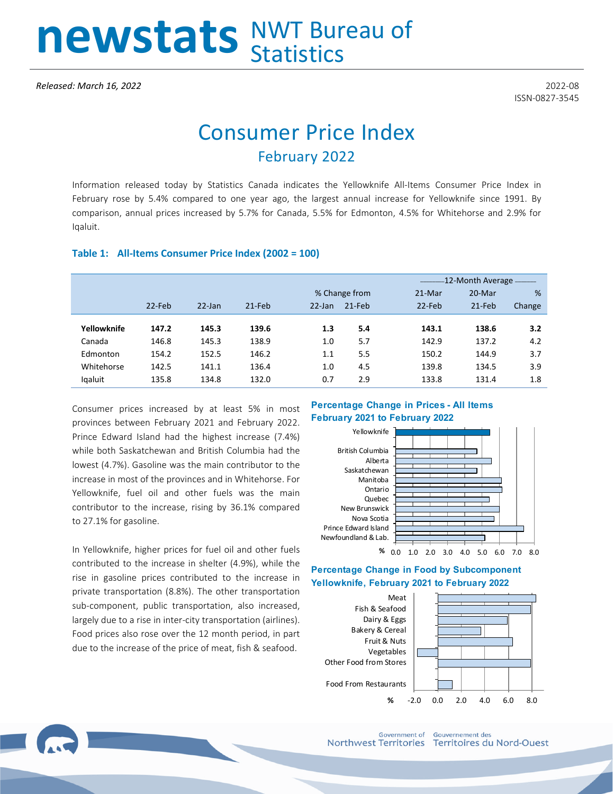# newstats NWT Bureau of

# Consumer Price Index February 2022

Information released today by Statistics Canada indicates the Yellowknife All-Items Consumer Price Index in February rose by 5.4% compared to one year ago, the largest annual increase for Yellowknife since 1991. By comparison, annual prices increased by 5.7% for Canada, 5.5% for Edmonton, 4.5% for Whitehorse and 2.9% for Iqaluit.

#### **Table 1: All-Items Consumer Price Index (2002 = 100)**

|             |           |           |          |               |        | -12-Month Average - The Month Street |        |        |  |
|-------------|-----------|-----------|----------|---------------|--------|--------------------------------------|--------|--------|--|
|             |           |           |          | % Change from |        | 21-Mar                               | 20-Mar | %      |  |
|             | $22$ -Feb | $22$ -Jan | $21-Feb$ | $22$ -Jan     | 21-Feb | 22-Feb                               | 21-Feb | Change |  |
| Yellowknife | 147.2     | 145.3     | 139.6    | 1.3           | 5.4    | 143.1                                | 138.6  | 3.2    |  |
| Canada      | 146.8     | 145.3     | 138.9    | 1.0           | 5.7    | 142.9                                | 137.2  | 4.2    |  |
| Edmonton    | 154.2     | 152.5     | 146.2    | 1.1           | 5.5    | 150.2                                | 144.9  | 3.7    |  |
| Whitehorse  | 142.5     | 141.1     | 136.4    | 1.0           | 4.5    | 139.8                                | 134.5  | 3.9    |  |
| lgaluit     | 135.8     | 134.8     | 132.0    | 0.7           | 2.9    | 133.8                                | 131.4  | 1.8    |  |

Consumer prices increased by at least 5% in most provinces between February 2021 and February 2022. Prince Edward Island had the highest increase (7.4%) while both Saskatchewan and British Columbia had the lowest (4.7%). Gasoline was the main contributor to the increase in most of the provinces and in Whitehorse. For Yellowknife, fuel oil and other fuels was the main contributor to the increase, rising by 36.1% compared to 27.1% for gasoline.

In Yellowknife, higher prices for fuel oil and other fuels contributed to the increase in shelter (4.9%), while the rise in gasoline prices contributed to the increase in private transportation (8.8%). The other transportation sub-component, public transportation, also increased, largely due to a rise in inter-city transportation (airlines). Food prices also rose over the 12 month period, in part due to the increase of the price of meat, fish & seafood.

### **Percentage Change in Prices - All Items February 2021 to February 2022**



#### **Percentage Change in Food by Subcomponent Yellowknife, February 2021 to February 2022**



**Government of** Northwest Territories

**Gouvernement des** Territoires du Nord-Ouest